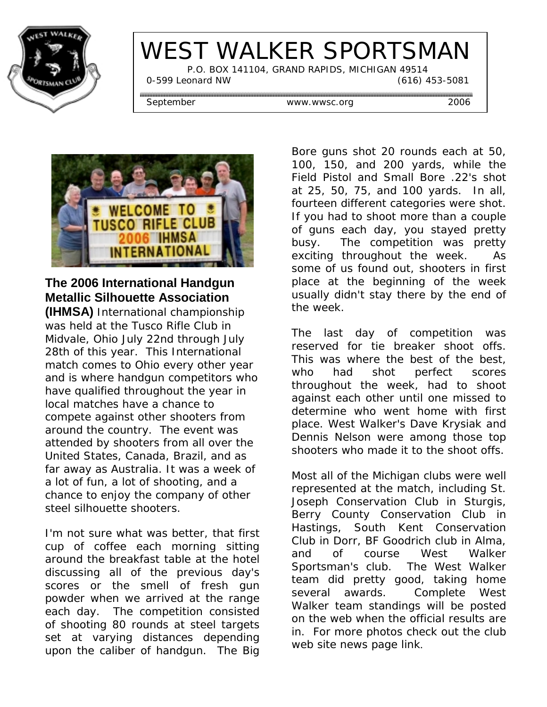

# WEST WALKER SPORTSMAN

 P.O. BOX 141104, GRAND RAPIDS, MICHIGAN 49514 0-599 Leonard NW (616) 453-5081

September www.wwsc.org 2006



# **The 2006 International Handgun Metallic Silhouette Association**

**(IHMSA)** International championship was held at the Tusco Rifle Club in Midvale, Ohio July 22nd through July 28th of this year. This International match comes to Ohio every other year and is where handgun competitors who have qualified throughout the year in local matches have a chance to compete against other shooters from around the country. The event was attended by shooters from all over the United States, Canada, Brazil, and as far away as Australia. It was a week of a lot of fun, a lot of shooting, and a chance to enjoy the company of other steel silhouette shooters.

I'm not sure what was better, that first cup of coffee each morning sitting around the breakfast table at the hotel discussing all of the previous day's scores or the smell of fresh gun powder when we arrived at the range each day. The competition consisted of shooting 80 rounds at steel targets set at varying distances depending upon the caliber of handgun. The Big

Bore guns shot 20 rounds each at 50, 100, 150, and 200 yards, while the Field Pistol and Small Bore .22's shot at 25, 50, 75, and 100 yards. In all, fourteen different categories were shot. If you had to shoot more than a couple of guns each day, you stayed pretty busy. The competition was pretty exciting throughout the week. As some of us found out, shooters in first place at the beginning of the week usually didn't stay there by the end of the week.

The last day of competition was reserved for tie breaker shoot offs. This was where the best of the best, who had shot perfect scores throughout the week, had to shoot against each other until one missed to determine who went home with first place. West Walker's Dave Krysiak and Dennis Nelson were among those top shooters who made it to the shoot offs.

Most all of the Michigan clubs were well represented at the match, including St. Joseph Conservation Club in Sturgis, Berry County Conservation Club in Hastings, South Kent Conservation Club in Dorr, BF Goodrich club in Alma, and of course West Walker Sportsman's club. The West Walker team did pretty good, taking home several awards. Complete West Walker team standings will be posted on the web when the official results are in. For more photos check out the club web site news page link.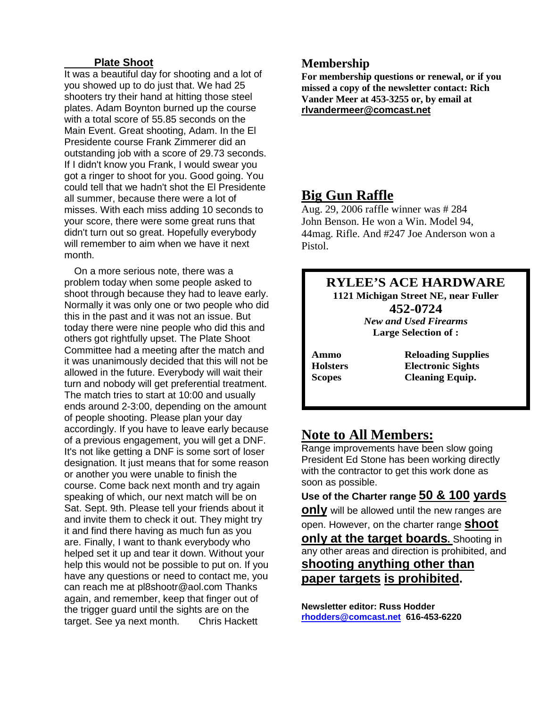### **Plate Shoot**

It was a beautiful day for shooting and a lot of you showed up to do just that. We had 25 shooters try their hand at hitting those steel plates. Adam Boynton burned up the course with a total score of 55.85 seconds on the Main Event. Great shooting, Adam. In the El Presidente course Frank Zimmerer did an outstanding job with a score of 29.73 seconds. If I didn't know you Frank, I would swear you got a ringer to shoot for you. Good going. You could tell that we hadn't shot the El Presidente all summer, because there were a lot of misses. With each miss adding 10 seconds to your score, there were some great runs that didn't turn out so great. Hopefully everybody will remember to aim when we have it next month.

 On a more serious note, there was a problem today when some people asked to shoot through because they had to leave early. Normally it was only one or two people who did this in the past and it was not an issue. But today there were nine people who did this and others got rightfully upset. The Plate Shoot Committee had a meeting after the match and it was unanimously decided that this will not be allowed in the future. Everybody will wait their turn and nobody will get preferential treatment. The match tries to start at 10:00 and usually ends around 2-3:00, depending on the amount of people shooting. Please plan your day accordingly. If you have to leave early because of a previous engagement, you will get a DNF. It's not like getting a DNF is some sort of loser designation. It just means that for some reason or another you were unable to finish the course. Come back next month and try again speaking of which, our next match will be on Sat. Sept. 9th. Please tell your friends about it and invite them to check it out. They might try it and find there having as much fun as you are. Finally, I want to thank everybody who helped set it up and tear it down. Without your help this would not be possible to put on. If you have any questions or need to contact me, you can reach me at pl8shootr@aol.com Thanks again, and remember, keep that finger out of the trigger guard until the sights are on the target. See ya next month. Chris Hackett

## **Membership**

**For membership questions or renewal, or if you missed a copy of the newsletter contact: Rich Vander Meer at 453-3255 or, by email at rlvandermeer@comcast.net**

**Big Gun Raffle**<br>Aug. 29, 2006 raffle winner was # 284 John Benson. He won a Win. Model 94, 44mag. Rifle. And #247 Joe Anderson won a Pistol.

### **RYLEE'S ACE HARDWARE 1121 Michigan Street NE, near Fuller 452-0724**  *New and Used Firearms*  **Large Selection of :**

**Ammo Reloading Supplies Holsters Electronic Sights Scopes Cleaning Equip.** 

# **Note to All Members:**

Range improvements have been slow going President Ed Stone has been working directly with the contractor to get this work done as soon as possible.

## **Use of the Charter range 50 & 100 yards**

**only** will be allowed until the new ranges are open. However, on the charter range **shoot**

**only at the target boards.** Shooting in any other areas and direction is prohibited, and **shooting anything other than**

**paper targets is prohibited.**

**Newsletter editor: Russ Hodder rhodders@comcast.net 616-453-6220**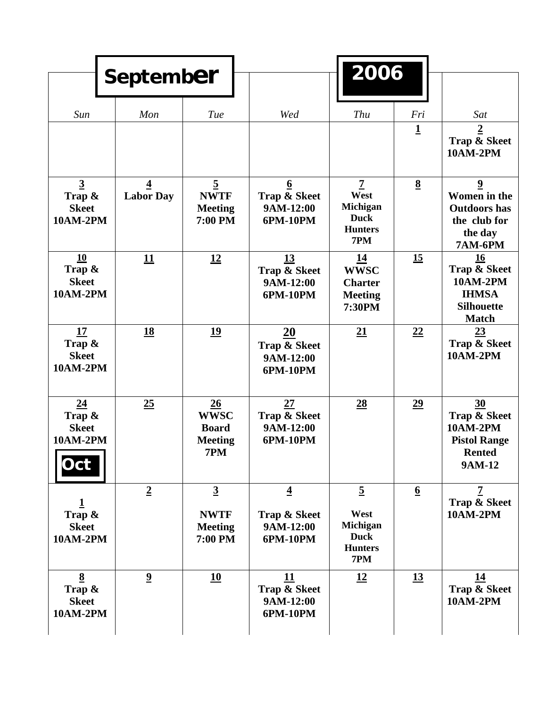|                                                                  | <b>September</b>                            |                                                            |                                                          | 2006                                                                       |                  |                                                                                                       |
|------------------------------------------------------------------|---------------------------------------------|------------------------------------------------------------|----------------------------------------------------------|----------------------------------------------------------------------------|------------------|-------------------------------------------------------------------------------------------------------|
| Sun                                                              | Mon                                         | Tue                                                        | Wed                                                      | Thu                                                                        | Fri              | Sat                                                                                                   |
|                                                                  |                                             |                                                            |                                                          |                                                                            | $\mathbf 1$      | $\overline{2}$<br>Trap & Skeet<br><b>10AM-2PM</b>                                                     |
| $\overline{3}$<br>Trap $\&$<br><b>Skeet</b><br><b>10AM-2PM</b>   | $\overline{\mathbf{4}}$<br><b>Labor Day</b> | $\overline{5}$<br><b>NWTF</b><br><b>Meeting</b><br>7:00 PM | $6\overline{6}$<br>Trap & Skeet<br>9AM-12:00<br>6PM-10PM | $\overline{7}$<br>West<br>Michigan<br><b>Duck</b><br><b>Hunters</b><br>7PM | $\underline{8}$  | $\boldsymbol{9}$<br>Women in the<br><b>Outdoors</b> has<br>the club for<br>the day<br><b>7AM-6PM</b>  |
| 10<br>Trap &<br><b>Skeet</b><br><b>10AM-2PM</b>                  | 11                                          | <u>12</u>                                                  | 13<br><b>Trap &amp; Skeet</b><br>9AM-12:00<br>6PM-10PM   | <u>14</u><br><b>WWSC</b><br><b>Charter</b><br><b>Meeting</b><br>7:30PM     | 15               | 16<br><b>Trap &amp; Skeet</b><br><b>10AM-2PM</b><br><b>IHMSA</b><br><b>Silhouette</b><br><b>Match</b> |
| 17<br>Trap &<br><b>Skeet</b><br><b>10AM-2PM</b>                  | <u>18</u>                                   | 19                                                         | 20<br>Trap & Skeet<br>9AM-12:00<br>6PM-10PM              | 21                                                                         | 22               | 23<br><b>Trap &amp; Skeet</b><br><b>10AM-2PM</b>                                                      |
| 24<br>Trap $\&$<br><b>Skeet</b><br><b>10AM-2PM</b><br><b>Oct</b> | 25                                          | 26<br><b>WWSC</b><br><b>Board</b><br><b>Meeting</b><br>7PM | 27<br>Trap & Skeet<br>9AM-12:00<br>6PM-10PM              | $\underline{28}$                                                           | 29               | 30<br><b>Trap &amp; Skeet</b><br>10AM-2PM<br><b>Pistol Range</b><br><b>Rented</b><br><b>9AM-12</b>    |
| Trap $\&$<br><b>Skeet</b><br><b>10AM-2PM</b>                     | $\overline{2}$                              | $\overline{3}$<br><b>NWTF</b><br><b>Meeting</b><br>7:00 PM | $\overline{4}$<br>Trap & Skeet<br>9AM-12:00<br>6PM-10PM  | $\overline{5}$<br>West<br>Michigan<br><b>Duck</b><br><b>Hunters</b><br>7PM | $6 \overline{6}$ | 7<br>Trap & Skeet<br>10AM-2PM                                                                         |
| 8<br>Trap &<br><b>Skeet</b><br><b>10AM-2PM</b>                   | $\overline{2}$                              | 10                                                         | 11<br>Trap & Skeet<br>9AM-12:00<br>6PM-10PM              | 12                                                                         | 13               | 14<br><b>Trap &amp; Skeet</b><br>10AM-2PM                                                             |